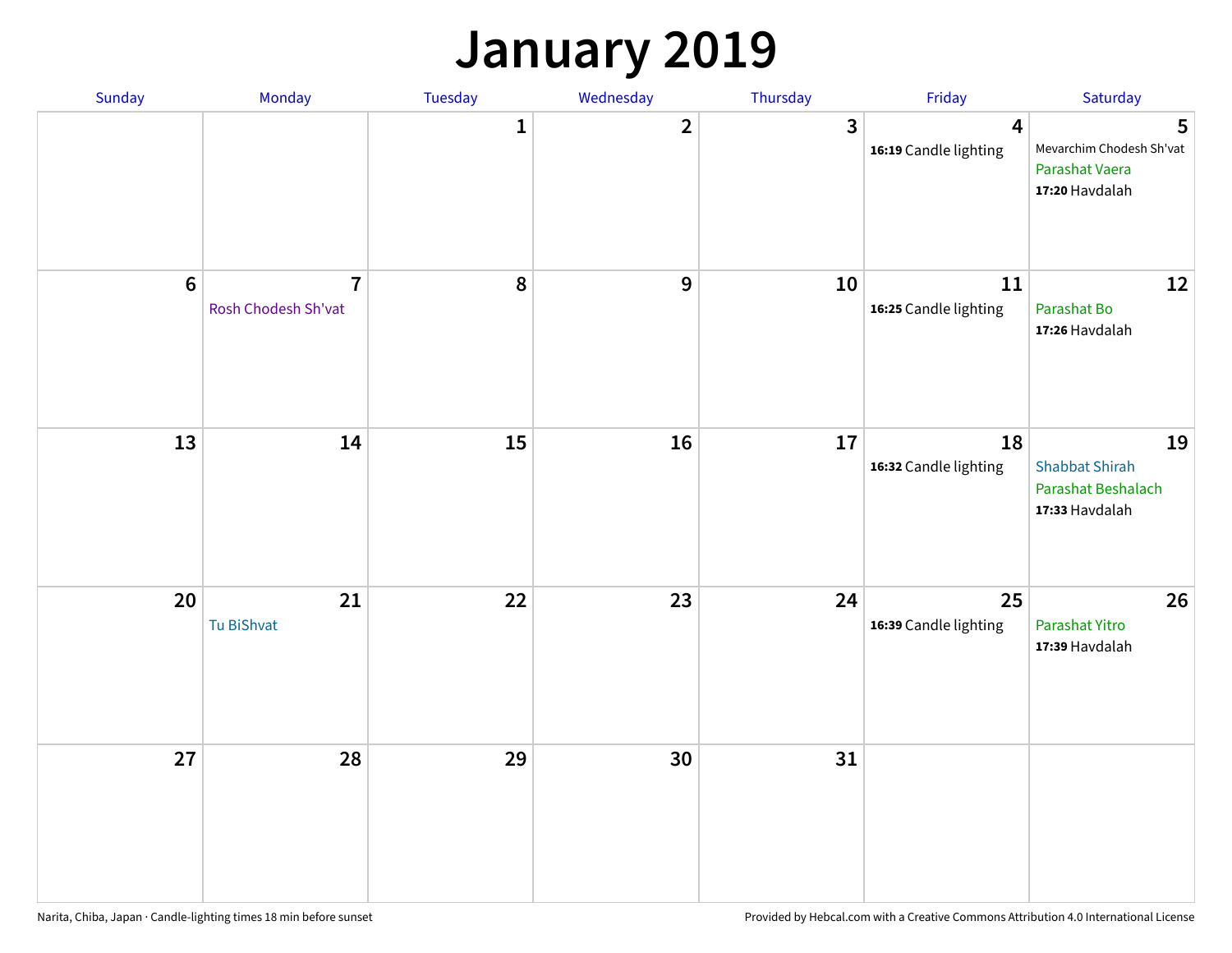#### **January 2019**

| Sunday  | Monday                                | Tuesday      | Wednesday               | Thursday     | Friday                      | Saturday                                                            |
|---------|---------------------------------------|--------------|-------------------------|--------------|-----------------------------|---------------------------------------------------------------------|
|         |                                       | $\mathbf{1}$ | $\overline{\mathbf{2}}$ | $\mathbf{3}$ | 4<br>16:19 Candle lighting  | 5<br>Mevarchim Chodesh Sh'vat<br>Parashat Vaera<br>17:20 Havdalah   |
| $\bf 6$ | $\overline{7}$<br>Rosh Chodesh Sh'vat | 8            | $\mathbf 9$             | 10           | 11<br>16:25 Candle lighting | 12<br>Parashat Bo<br>17:26 Havdalah                                 |
| 13      | 14                                    | 15           | 16                      | 17           | 18<br>16:32 Candle lighting | 19<br><b>Shabbat Shirah</b><br>Parashat Beshalach<br>17:33 Havdalah |
| 20      | 21<br>Tu BiShvat                      | 22           | 23                      | 24           | 25<br>16:39 Candle lighting | 26<br>Parashat Yitro<br>17:39 Havdalah                              |
| 27      | 28                                    | 29           | 30                      | 31           |                             |                                                                     |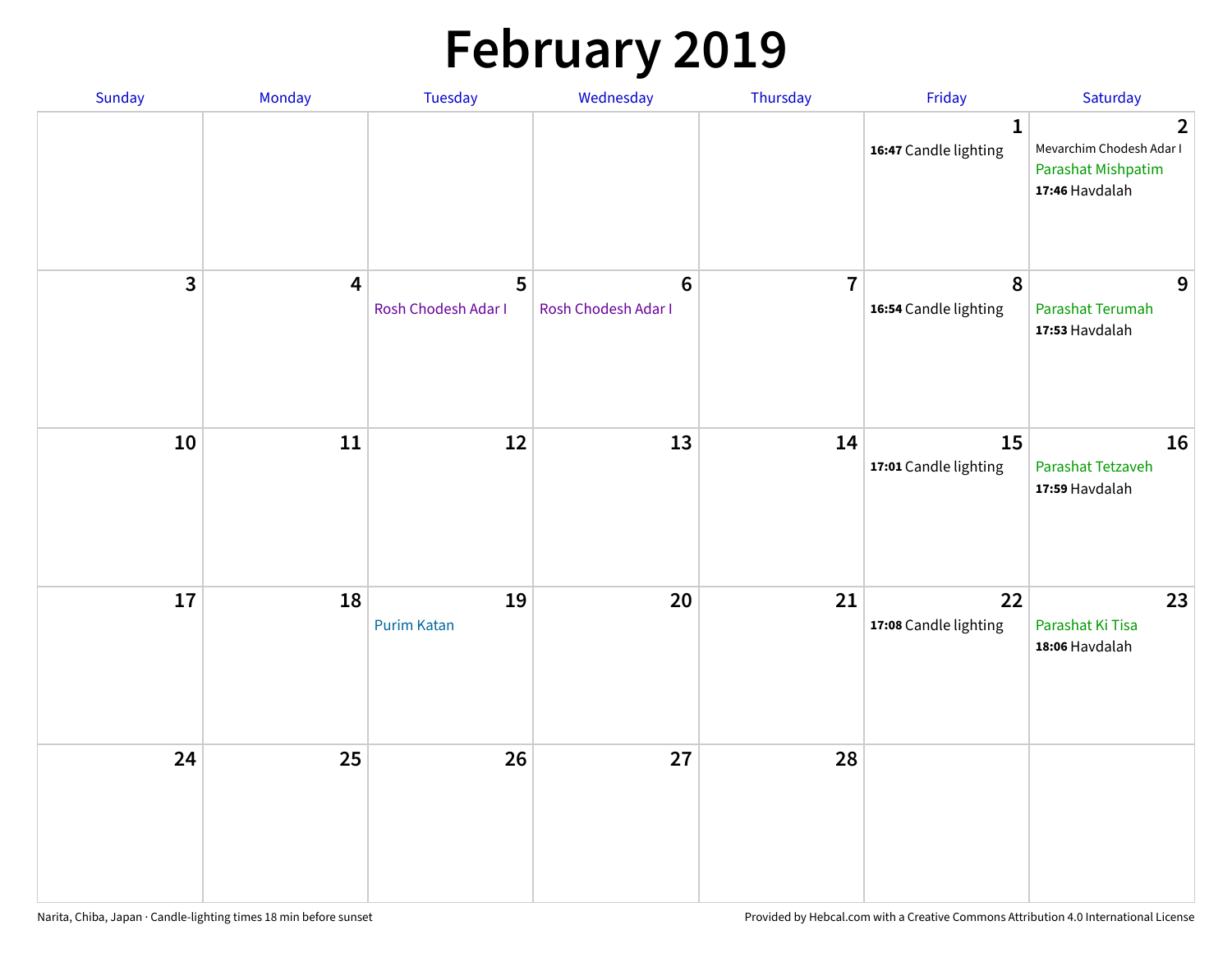# **February 2019**

| Sunday | Monday                  | Tuesday                  | Wednesday                             | Thursday       | Friday                                | Saturday                                                                                  |
|--------|-------------------------|--------------------------|---------------------------------------|----------------|---------------------------------------|-------------------------------------------------------------------------------------------|
|        |                         |                          |                                       |                | $\mathbf{1}$<br>16:47 Candle lighting | $\overline{2}$<br>Mevarchim Chodesh Adar I<br><b>Parashat Mishpatim</b><br>17:46 Havdalah |
| 3      | $\overline{\mathbf{4}}$ | 5<br>Rosh Chodesh Adar I | $6\phantom{1}$<br>Rosh Chodesh Adar I | $\overline{7}$ | $\pmb{8}$<br>16:54 Candle lighting    | 9<br>Parashat Terumah<br>17:53 Havdalah                                                   |
| 10     | 11                      | 12                       | 13                                    | 14             | 15<br>17:01 Candle lighting           | 16<br>Parashat Tetzaveh<br>17:59 Havdalah                                                 |
| 17     | 18                      | 19<br><b>Purim Katan</b> | 20                                    | 21             | 22<br>17:08 Candle lighting           | 23<br>Parashat Ki Tisa<br>18:06 Havdalah                                                  |
| 24     | 25                      | 26                       | 27                                    | 28             |                                       |                                                                                           |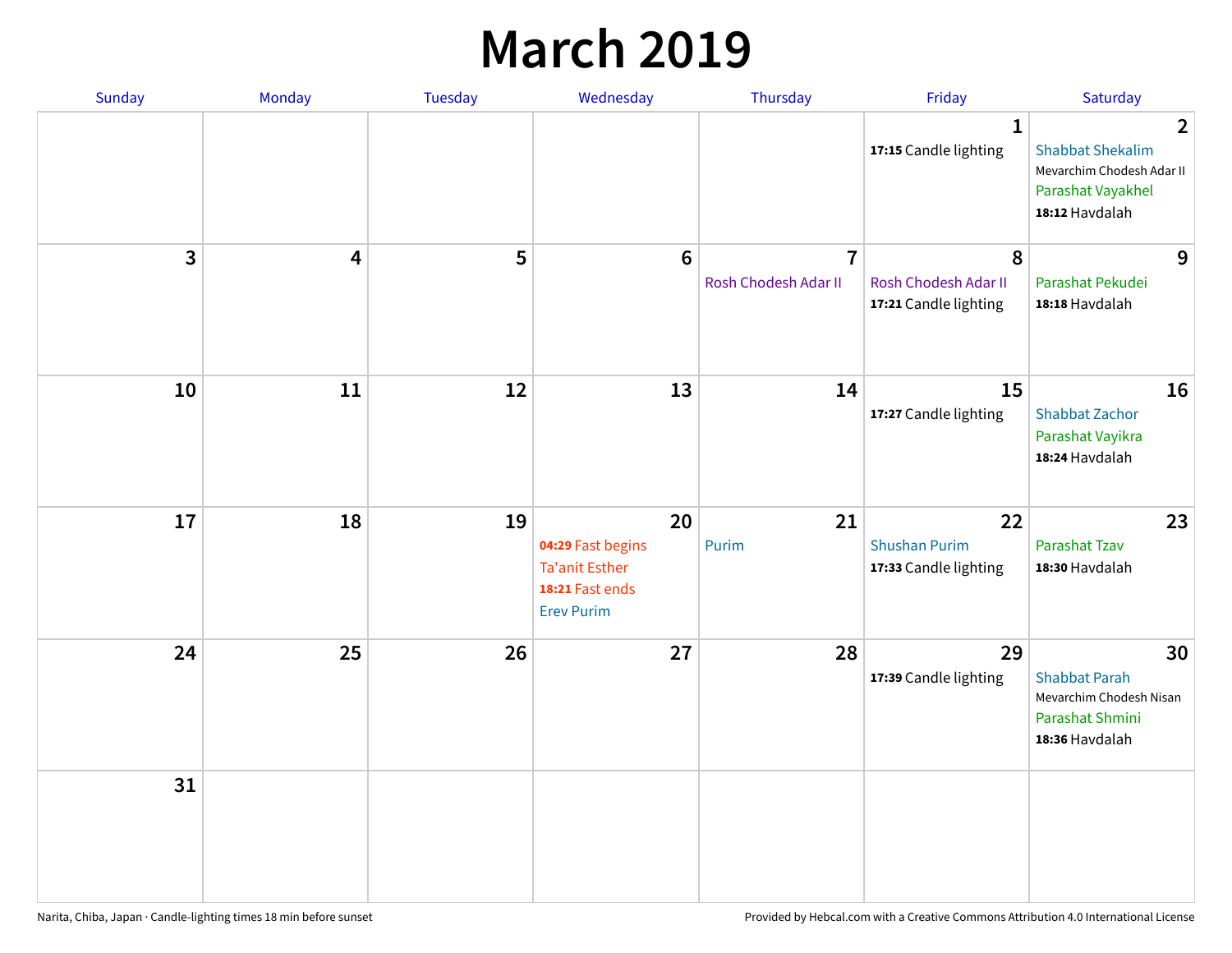#### **March 2019**

| Sunday       | Monday | Tuesday | Wednesday                                                                                | Thursday                               | Friday                                              | Saturday                                                                                                      |
|--------------|--------|---------|------------------------------------------------------------------------------------------|----------------------------------------|-----------------------------------------------------|---------------------------------------------------------------------------------------------------------------|
|              |        |         |                                                                                          |                                        | $\mathbf{1}$<br>17:15 Candle lighting               | $\overline{2}$<br><b>Shabbat Shekalim</b><br>Mevarchim Chodesh Adar II<br>Parashat Vayakhel<br>18:12 Havdalah |
| $\mathbf{3}$ | 4      | 5       | $6\phantom{1}6$                                                                          | $\overline{7}$<br>Rosh Chodesh Adar II | 8<br>Rosh Chodesh Adar II<br>17:21 Candle lighting  | 9<br>Parashat Pekudei<br>18:18 Havdalah                                                                       |
| 10           | 11     | 12      | 13                                                                                       | 14                                     | 15<br>17:27 Candle lighting                         | 16<br><b>Shabbat Zachor</b><br>Parashat Vayikra<br>18:24 Havdalah                                             |
| 17           | 18     | 19      | 20<br>04:29 Fast begins<br><b>Ta'anit Esther</b><br>18:21 Fast ends<br><b>Erev Purim</b> | 21<br>Purim                            | 22<br><b>Shushan Purim</b><br>17:33 Candle lighting | 23<br>Parashat Tzav<br>18:30 Havdalah                                                                         |
| 24           | 25     | 26      | 27                                                                                       | 28                                     | 29<br>17:39 Candle lighting                         | 30<br><b>Shabbat Parah</b><br>Mevarchim Chodesh Nisan<br>Parashat Shmini<br>18:36 Havdalah                    |
| 31           |        |         |                                                                                          |                                        |                                                     |                                                                                                               |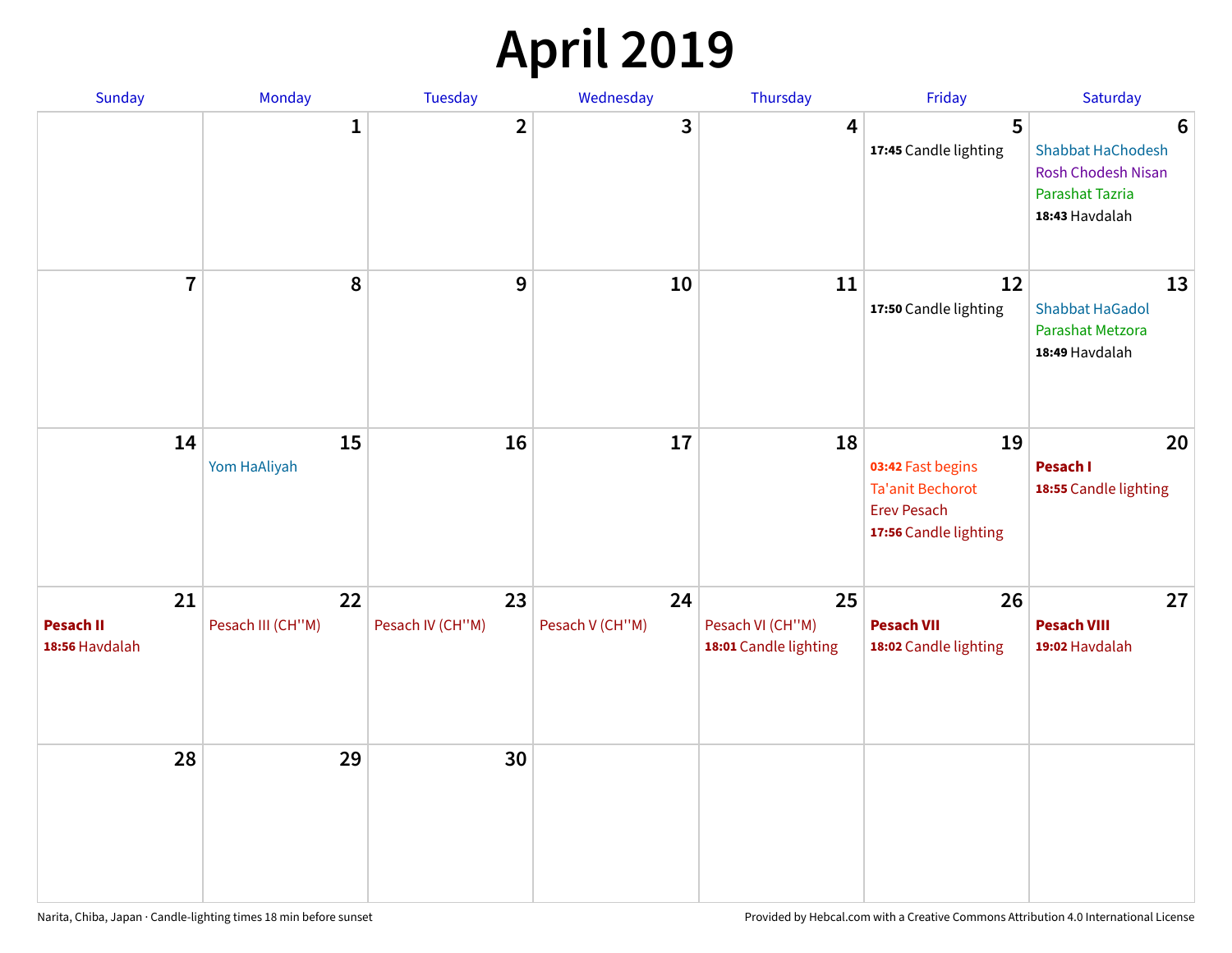## **April 2019**

| Sunday                            | Monday                  | Tuesday                | Wednesday             | Thursday                                        | Friday                                                                                            | Saturday                                                                                                             |
|-----------------------------------|-------------------------|------------------------|-----------------------|-------------------------------------------------|---------------------------------------------------------------------------------------------------|----------------------------------------------------------------------------------------------------------------------|
|                                   | $\mathbf{1}$            | $\overline{2}$         | 3                     | 4                                               | 5<br>17:45 Candle lighting                                                                        | $6\phantom{1}6$<br><b>Shabbat HaChodesh</b><br><b>Rosh Chodesh Nisan</b><br><b>Parashat Tazria</b><br>18:43 Havdalah |
| $\overline{7}$                    | 8                       | $\boldsymbol{9}$       | 10                    | 11                                              | 12<br>17:50 Candle lighting                                                                       | 13<br><b>Shabbat HaGadol</b><br>Parashat Metzora<br>18:49 Havdalah                                                   |
| 14                                | 15<br>Yom HaAliyah      | 16                     | 17                    | 18                                              | 19<br>03:42 Fast begins<br><b>Ta'anit Bechorot</b><br><b>Erev Pesach</b><br>17:56 Candle lighting | 20<br>Pesach I<br>18:55 Candle lighting                                                                              |
| 21<br>Pesach II<br>18:56 Havdalah | 22<br>Pesach III (CH"M) | 23<br>Pesach IV (CH"M) | 24<br>Pesach V (CH"M) | 25<br>Pesach VI (CH"M)<br>18:01 Candle lighting | 26<br><b>Pesach VII</b><br>18:02 Candle lighting                                                  | 27<br><b>Pesach VIII</b><br>19:02 Havdalah                                                                           |
| 28                                | 29                      | 30                     |                       |                                                 |                                                                                                   |                                                                                                                      |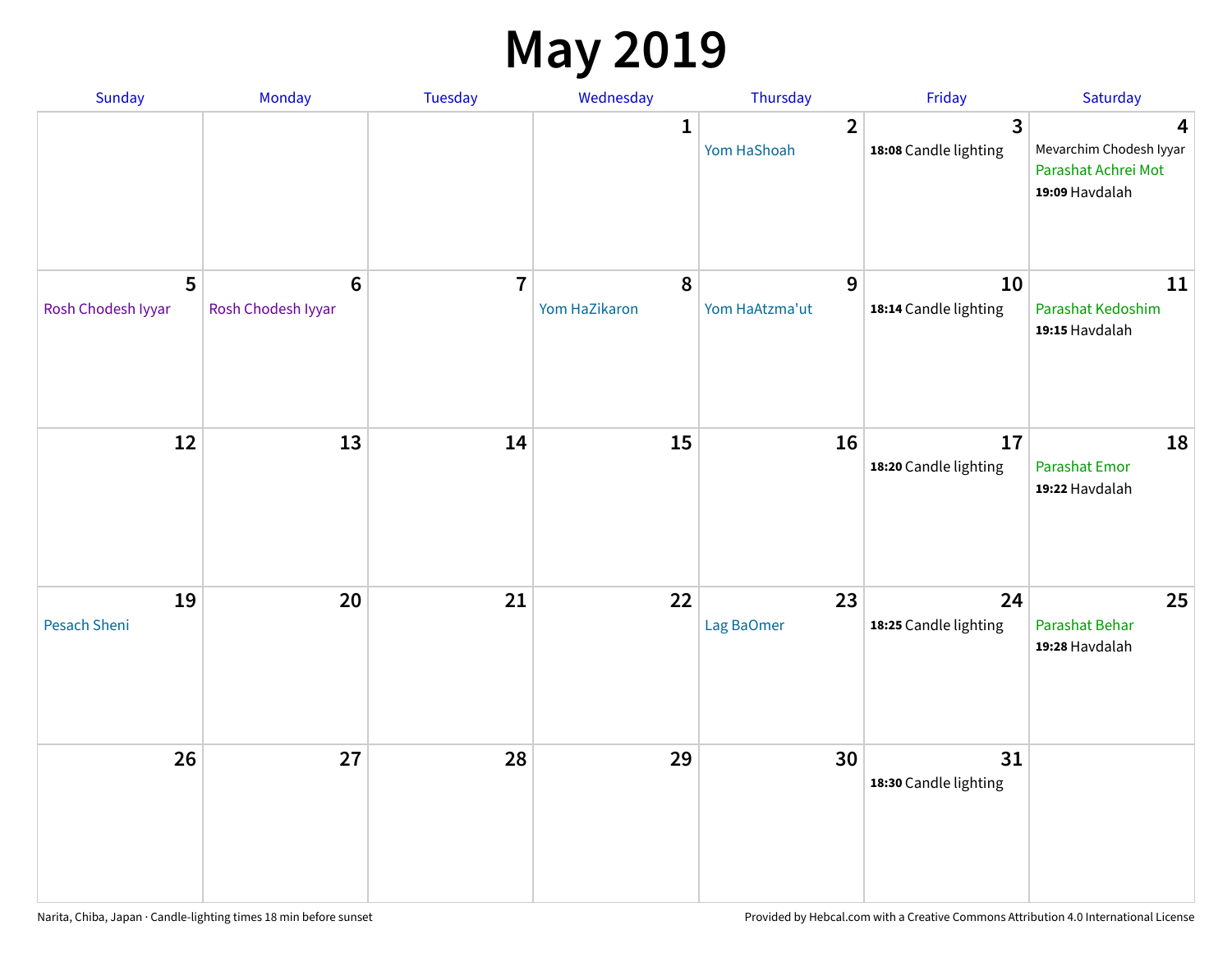#### **May 2019**

| Sunday                    | Monday                      | Tuesday        | Wednesday                  | Thursday                      | Friday                                           | Saturday                                                              |
|---------------------------|-----------------------------|----------------|----------------------------|-------------------------------|--------------------------------------------------|-----------------------------------------------------------------------|
|                           |                             |                | 1                          | $\overline{2}$<br>Yom HaShoah | $\overline{\mathbf{3}}$<br>18:08 Candle lighting | 4<br>Mevarchim Chodesh Iyyar<br>Parashat Achrei Mot<br>19:09 Havdalah |
| 5<br>Rosh Chodesh Iyyar   | $6\,$<br>Rosh Chodesh Iyyar | $\overline{7}$ | $\pmb{8}$<br>Yom HaZikaron | 9<br>Yom HaAtzma'ut           | 10<br>18:14 Candle lighting                      | 11<br>Parashat Kedoshim<br>19:15 Havdalah                             |
| 12                        | 13                          | 14             | 15                         | 16                            | 17<br>18:20 Candle lighting                      | 18<br>Parashat Emor<br>19:22 Havdalah                                 |
| 19<br><b>Pesach Sheni</b> | 20                          | 21             | 22                         | 23<br>Lag BaOmer              | 24<br>18:25 Candle lighting                      | 25<br>Parashat Behar<br>19:28 Havdalah                                |
| 26                        | 27                          | 28             | 29                         | 30                            | 31<br>18:30 Candle lighting                      |                                                                       |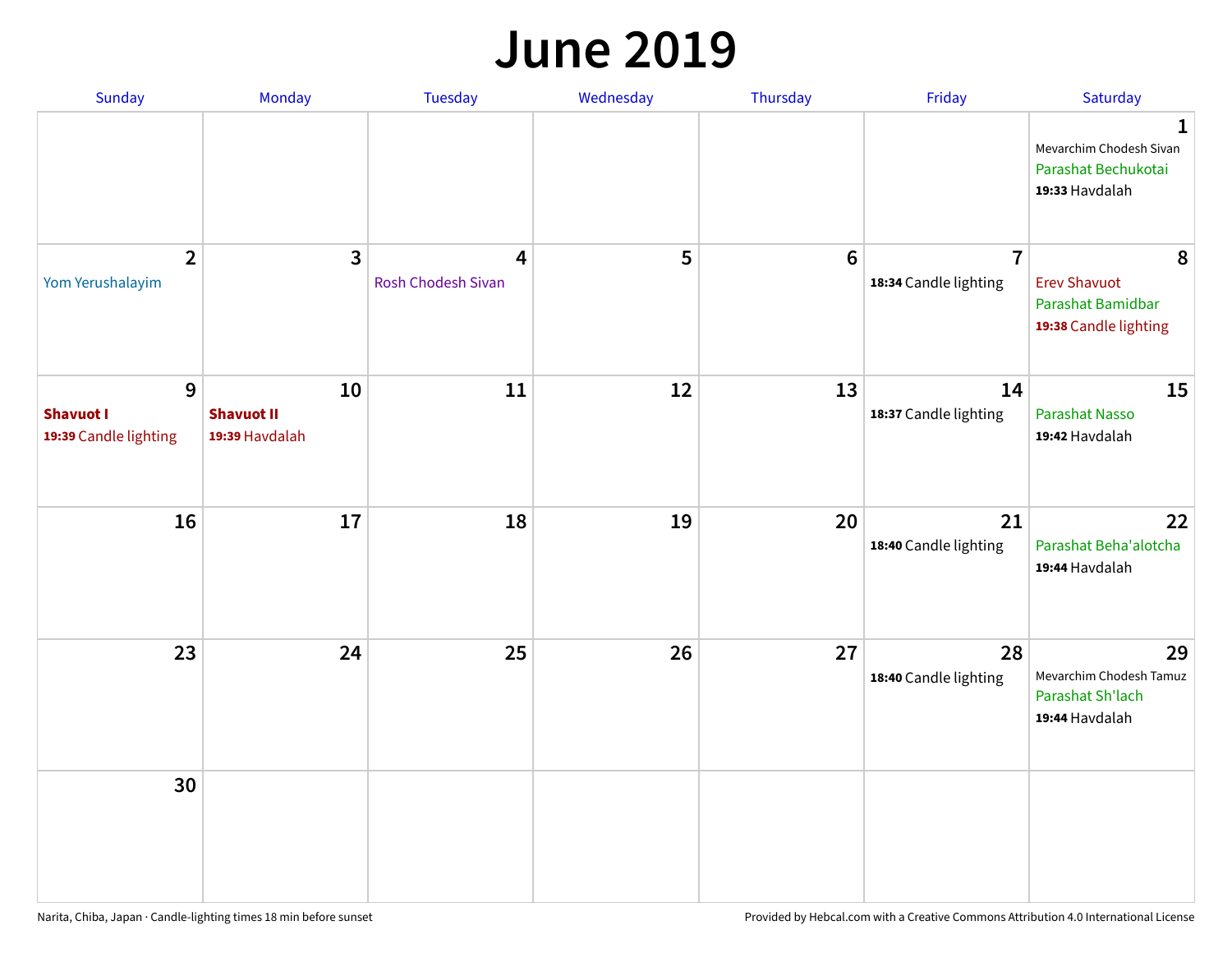#### **June 2019**

| Sunday                                         | Monday                                    | Tuesday                 | Wednesday | Thursday        | Friday                                  | Saturday                                                               |
|------------------------------------------------|-------------------------------------------|-------------------------|-----------|-----------------|-----------------------------------------|------------------------------------------------------------------------|
|                                                |                                           |                         |           |                 |                                         | 1<br>Mevarchim Chodesh Sivan<br>Parashat Bechukotai<br>19:33 Havdalah  |
| $\overline{2}$<br>Yom Yerushalayim             | $\mathbf{3}$                              | 4<br>Rosh Chodesh Sivan | 5         | $6\phantom{1}6$ | $\overline{7}$<br>18:34 Candle lighting | 8<br><b>Erev Shavuot</b><br>Parashat Bamidbar<br>19:38 Candle lighting |
| 9<br><b>Shavuot I</b><br>19:39 Candle lighting | 10<br><b>Shavuot II</b><br>19:39 Havdalah | 11                      | 12        | 13              | 14<br>18:37 Candle lighting             | 15<br><b>Parashat Nasso</b><br>19:42 Havdalah                          |
| 16                                             | 17                                        | 18                      | 19        | 20              | 21<br>18:40 Candle lighting             | 22<br>Parashat Beha'alotcha<br>19:44 Havdalah                          |
| 23                                             | 24                                        | 25                      | 26        | 27              | 28<br>18:40 Candle lighting             | 29<br>Mevarchim Chodesh Tamuz<br>Parashat Sh'lach<br>19:44 Havdalah    |
| 30                                             |                                           |                         |           |                 |                                         |                                                                        |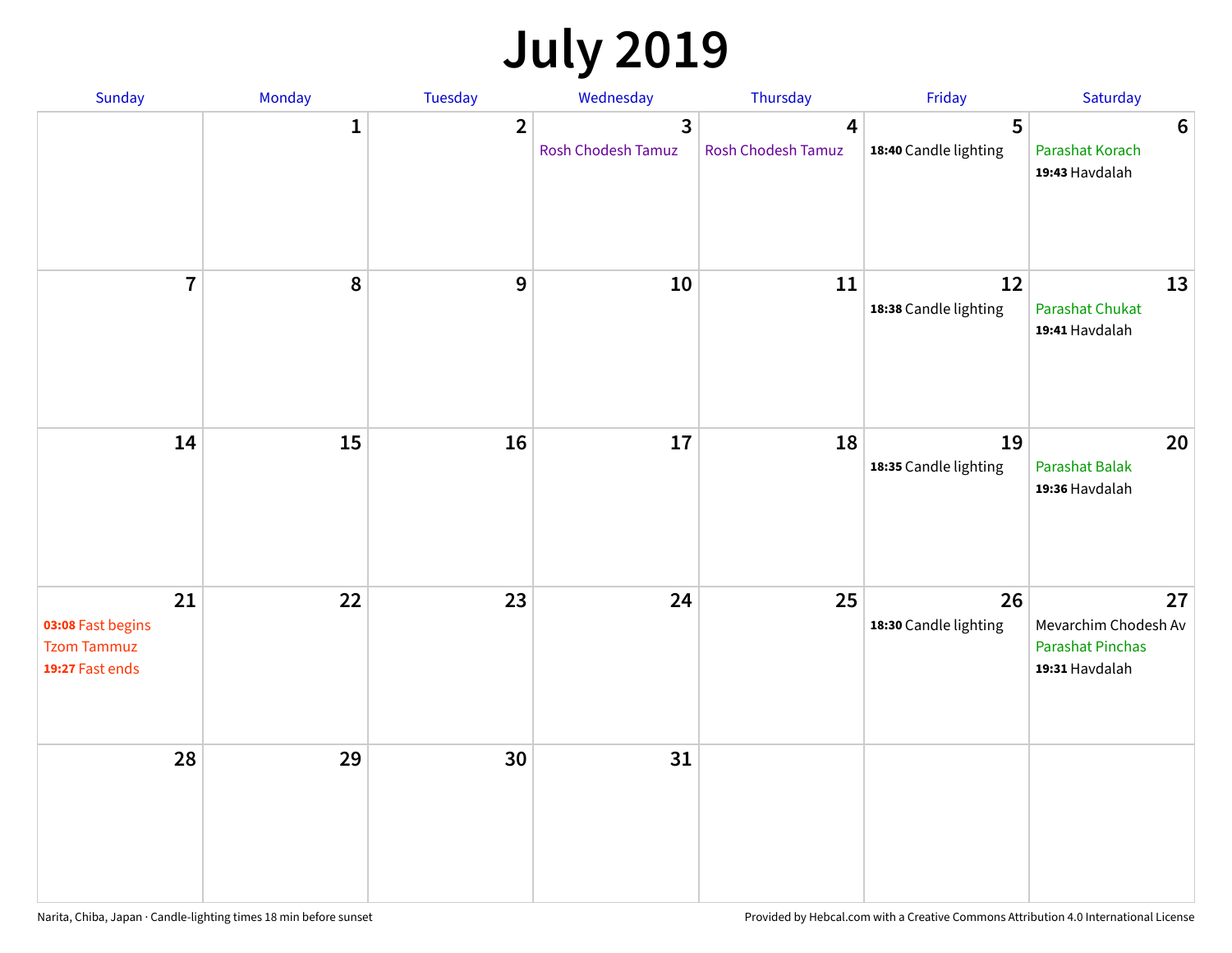# **July 2019**

| Sunday                                                           | Monday       | Tuesday        | Wednesday                                   | Thursday                             | Friday                      | Saturday                                                                |
|------------------------------------------------------------------|--------------|----------------|---------------------------------------------|--------------------------------------|-----------------------------|-------------------------------------------------------------------------|
|                                                                  | $\mathbf{1}$ | $\overline{2}$ | $\overline{3}$<br><b>Rosh Chodesh Tamuz</b> | $\overline{4}$<br>Rosh Chodesh Tamuz | 5<br>18:40 Candle lighting  | $6\phantom{1}6$<br>Parashat Korach<br>19:43 Havdalah                    |
| $\overline{7}$                                                   | 8            | $\overline{9}$ | 10                                          | 11                                   | 12<br>18:38 Candle lighting | 13<br><b>Parashat Chukat</b><br>19:41 Havdalah                          |
| 14                                                               | 15           | 16             | 17                                          | 18                                   | 19<br>18:35 Candle lighting | 20<br>Parashat Balak<br>19:36 Havdalah                                  |
| 21<br>03:08 Fast begins<br><b>Tzom Tammuz</b><br>19:27 Fast ends | 22           | 23             | 24                                          | 25                                   | 26<br>18:30 Candle lighting | 27<br>Mevarchim Chodesh Av<br><b>Parashat Pinchas</b><br>19:31 Havdalah |
| 28                                                               | 29           | 30             | 31                                          |                                      |                             |                                                                         |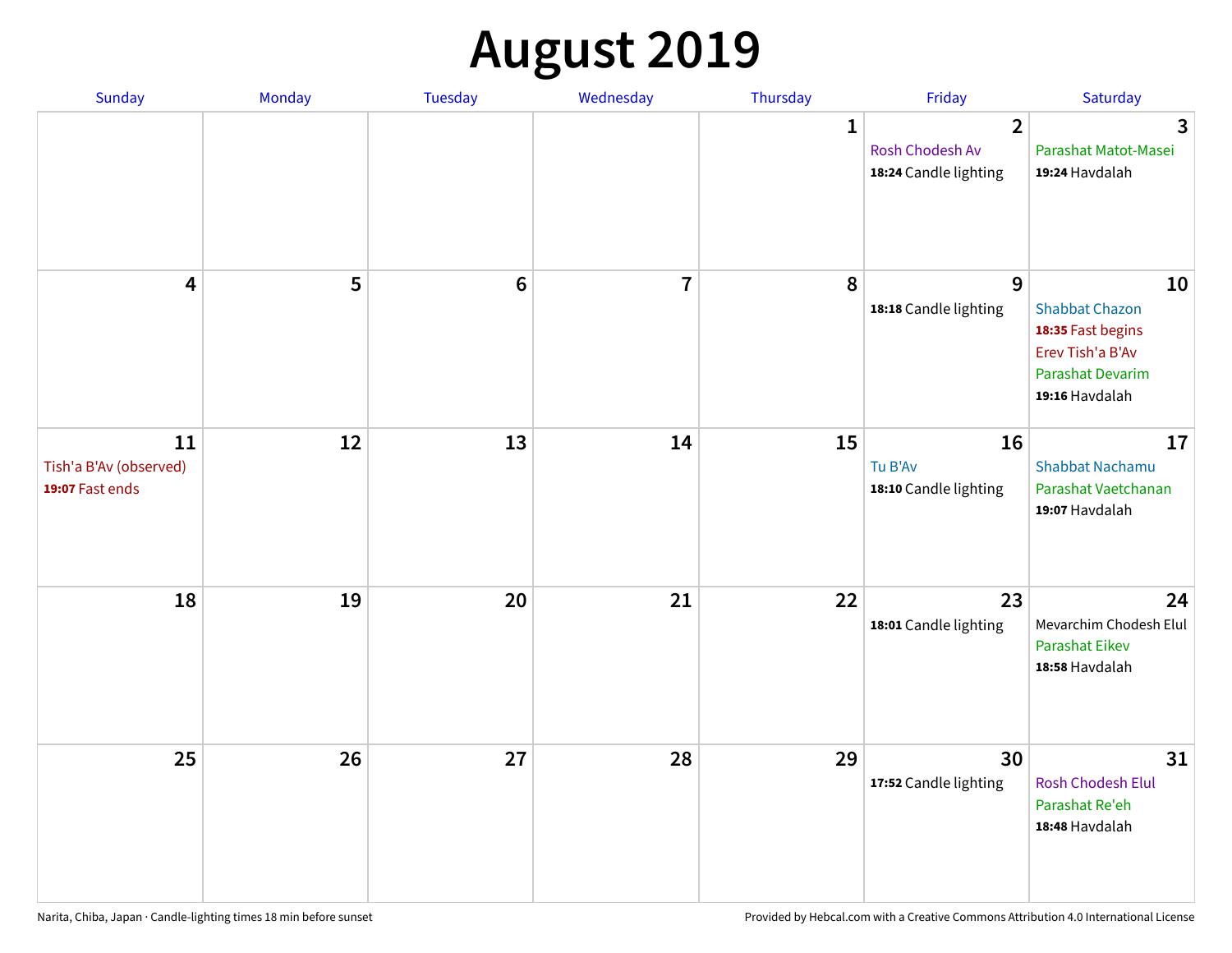# **August 2019**

| Sunday                                          | Monday | Tuesday         | Wednesday      | Thursday     | Friday                                                     | Saturday                                                                                                          |
|-------------------------------------------------|--------|-----------------|----------------|--------------|------------------------------------------------------------|-------------------------------------------------------------------------------------------------------------------|
|                                                 |        |                 |                | $\mathbf{1}$ | $\overline{2}$<br>Rosh Chodesh Av<br>18:24 Candle lighting | $\overline{3}$<br>Parashat Matot-Masei<br>19:24 Havdalah                                                          |
| $\overline{\mathbf{4}}$                         | 5      | $6\phantom{1}6$ | $\overline{7}$ | 8            | 9<br>18:18 Candle lighting                                 | 10<br><b>Shabbat Chazon</b><br>18:35 Fast begins<br>Erev Tish'a B'Av<br><b>Parashat Devarim</b><br>19:16 Havdalah |
| 11<br>Tish'a B'Av (observed)<br>19:07 Fast ends | 12     | 13              | 14             | 15           | 16<br>Tu B'Av<br>18:10 Candle lighting                     | 17<br><b>Shabbat Nachamu</b><br>Parashat Vaetchanan<br>19:07 Havdalah                                             |
| 18                                              | 19     | 20              | 21             | 22           | 23<br>18:01 Candle lighting                                | 24<br>Mevarchim Chodesh Elul<br><b>Parashat Eikev</b><br>18:58 Havdalah                                           |
| 25                                              | 26     | 27              | 28             | 29           | 30<br>17:52 Candle lighting                                | 31<br>Rosh Chodesh Elul<br>Parashat Re'eh<br>18:48 Havdalah                                                       |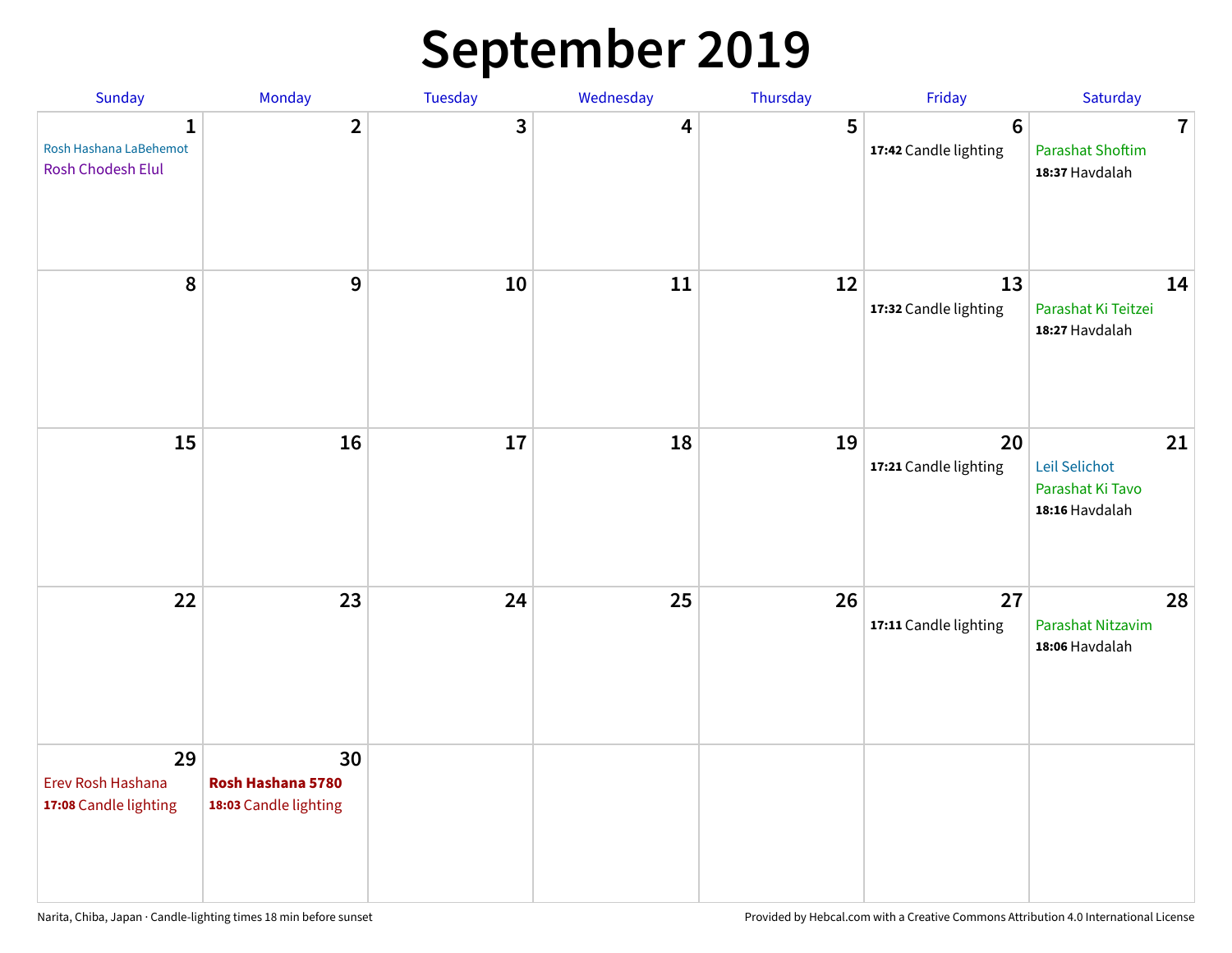## **September 2019**

| Sunday                                                  | Monday                                           | Tuesday | Wednesday | Thursday | Friday                           | Saturday                                                    |
|---------------------------------------------------------|--------------------------------------------------|---------|-----------|----------|----------------------------------|-------------------------------------------------------------|
| 1<br>Rosh Hashana LaBehemot<br><b>Rosh Chodesh Elul</b> | $\overline{2}$                                   | 3       | 4         | 5        | $\bf 6$<br>17:42 Candle lighting | $\overline{7}$<br><b>Parashat Shoftim</b><br>18:37 Havdalah |
| 8                                                       | 9                                                | 10      | 11        | 12       | 13<br>17:32 Candle lighting      | 14<br>Parashat Ki Teitzei<br>18:27 Havdalah                 |
| 15                                                      | 16                                               | 17      | 18        | 19       | 20<br>17:21 Candle lighting      | 21<br>Leil Selichot<br>Parashat Ki Tavo<br>18:16 Havdalah   |
| 22                                                      | 23                                               | 24      | 25        | 26       | 27<br>17:11 Candle lighting      | 28<br>Parashat Nitzavim<br>18:06 Havdalah                   |
| 29<br>Erev Rosh Hashana<br>17:08 Candle lighting        | 30<br>Rosh Hashana 5780<br>18:03 Candle lighting |         |           |          |                                  |                                                             |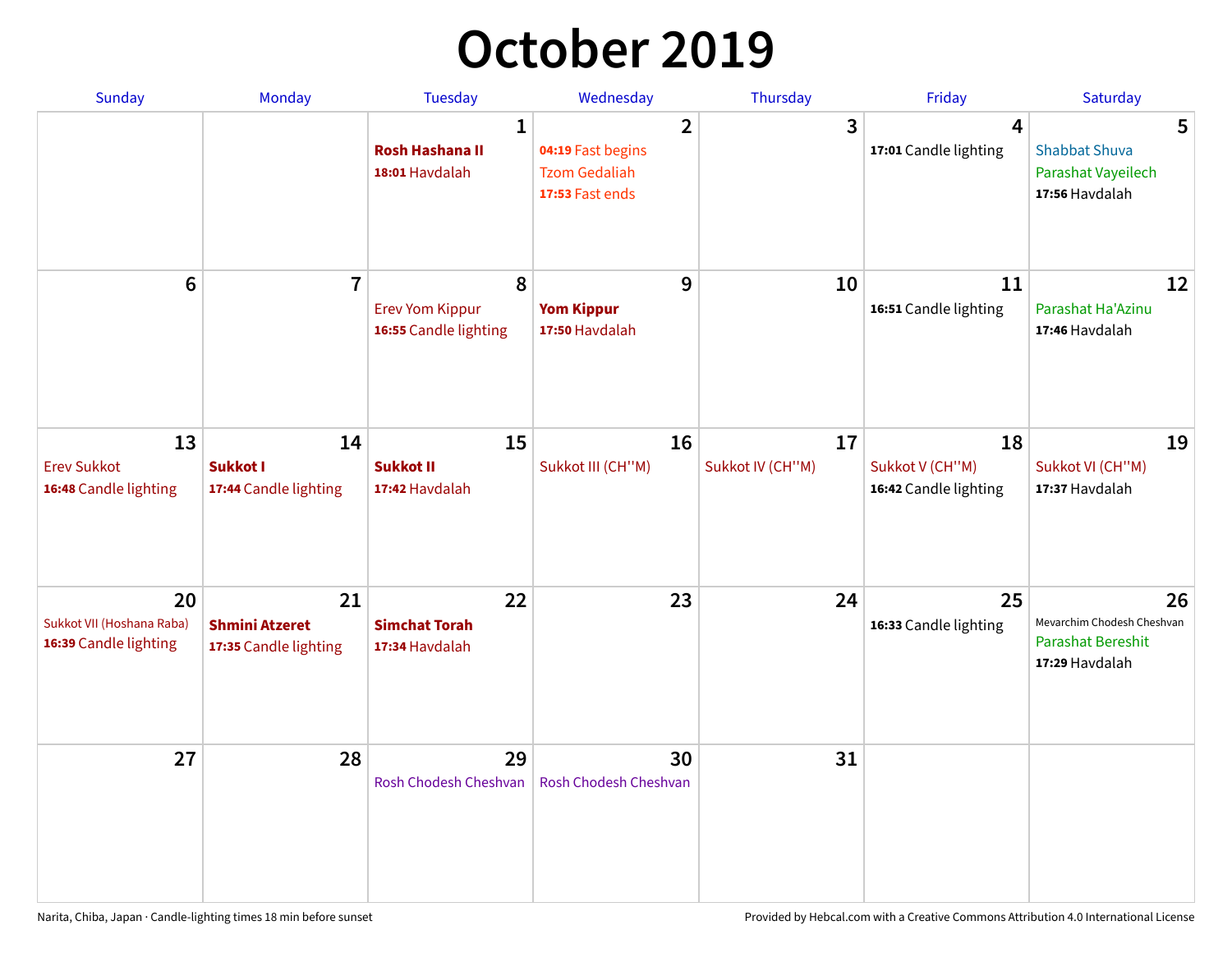## **October 2019**

| Sunday                                                   | <b>Monday</b>                                        | <b>Tuesday</b>                                           | Wednesday                                                                      | Thursday               | Friday                                         | Saturday                                                                       |
|----------------------------------------------------------|------------------------------------------------------|----------------------------------------------------------|--------------------------------------------------------------------------------|------------------------|------------------------------------------------|--------------------------------------------------------------------------------|
|                                                          |                                                      | $\mathbf{1}$<br><b>Rosh Hashana II</b><br>18:01 Havdalah | $\overline{2}$<br>04:19 Fast begins<br><b>Tzom Gedaliah</b><br>17:53 Fast ends | 3                      | $\overline{4}$<br>17:01 Candle lighting        | 5<br><b>Shabbat Shuva</b><br>Parashat Vayeilech<br>17:56 Havdalah              |
| $6\phantom{1}$                                           | $\overline{7}$                                       | 8<br><b>Erev Yom Kippur</b><br>16:55 Candle lighting     | 9<br><b>Yom Kippur</b><br>17:50 Havdalah                                       | 10                     | 11<br>16:51 Candle lighting                    | 12<br>Parashat Ha'Azinu<br>17:46 Havdalah                                      |
| 13<br><b>Erev Sukkot</b><br>16:48 Candle lighting        | 14<br>Sukkot I<br>17:44 Candle lighting              | 15<br><b>Sukkot II</b><br>17:42 Havdalah                 | 16<br>Sukkot III (CH"M)                                                        | 17<br>Sukkot IV (CH"M) | 18<br>Sukkot V (CH"M)<br>16:42 Candle lighting | 19<br>Sukkot VI (CH"M)<br>17:37 Havdalah                                       |
| 20<br>Sukkot VII (Hoshana Raba)<br>16:39 Candle lighting | 21<br><b>Shmini Atzeret</b><br>17:35 Candle lighting | 22<br><b>Simchat Torah</b><br>17:34 Havdalah             | 23                                                                             | 24                     | 25<br>16:33 Candle lighting                    | 26<br>Mevarchim Chodesh Cheshvan<br><b>Parashat Bereshit</b><br>17:29 Havdalah |
| 27                                                       | 28                                                   | 29<br>Rosh Chodesh Cheshvan                              | 30<br>Rosh Chodesh Cheshvan                                                    | 31                     |                                                |                                                                                |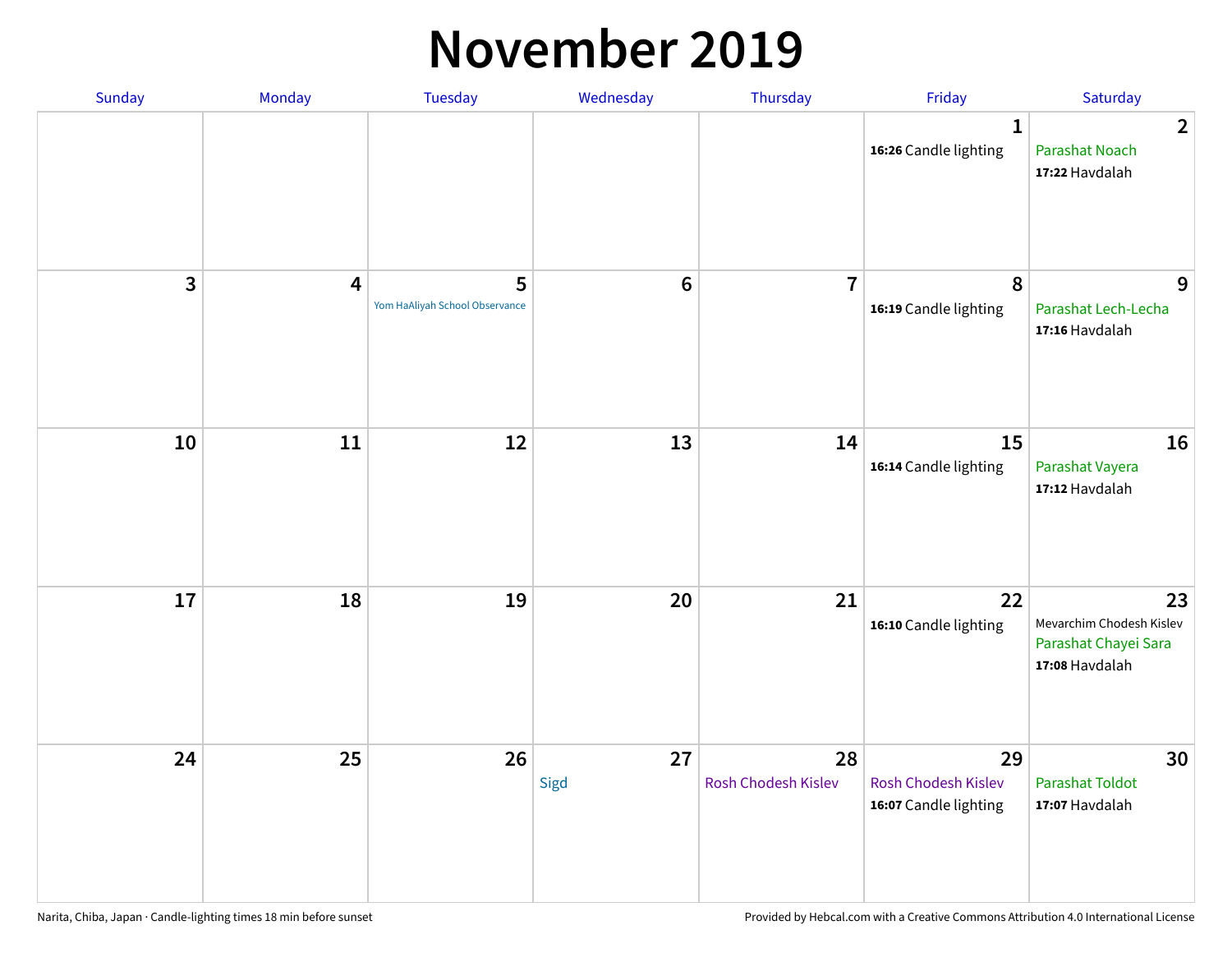#### **November 2019**

| Sunday | Monday                  | <b>Tuesday</b>                      | Wednesday       | Thursday                  | Friday                                                    | Saturday                                                                 |
|--------|-------------------------|-------------------------------------|-----------------|---------------------------|-----------------------------------------------------------|--------------------------------------------------------------------------|
|        |                         |                                     |                 |                           | $\mathbf{1}$<br>16:26 Candle lighting                     | $\overline{2}$<br><b>Parashat Noach</b><br>17:22 Havdalah                |
| 3      | $\overline{\mathbf{4}}$ | 5<br>Yom HaAliyah School Observance | $6\phantom{1}6$ | $\overline{7}$            | 8<br>16:19 Candle lighting                                | 9<br>Parashat Lech-Lecha<br>17:16 Havdalah                               |
| 10     | 11                      | 12                                  | 13              | 14                        | 15<br>16:14 Candle lighting                               | 16<br>Parashat Vayera<br>17:12 Havdalah                                  |
| 17     | 18                      | 19                                  | 20              | 21                        | 22<br>16:10 Candle lighting                               | 23<br>Mevarchim Chodesh Kislev<br>Parashat Chayei Sara<br>17:08 Havdalah |
| 24     | 25                      | 26                                  | 27<br>Sigd      | 28<br>Rosh Chodesh Kislev | 29<br><b>Rosh Chodesh Kislev</b><br>16:07 Candle lighting | 30<br><b>Parashat Toldot</b><br>17:07 Havdalah                           |